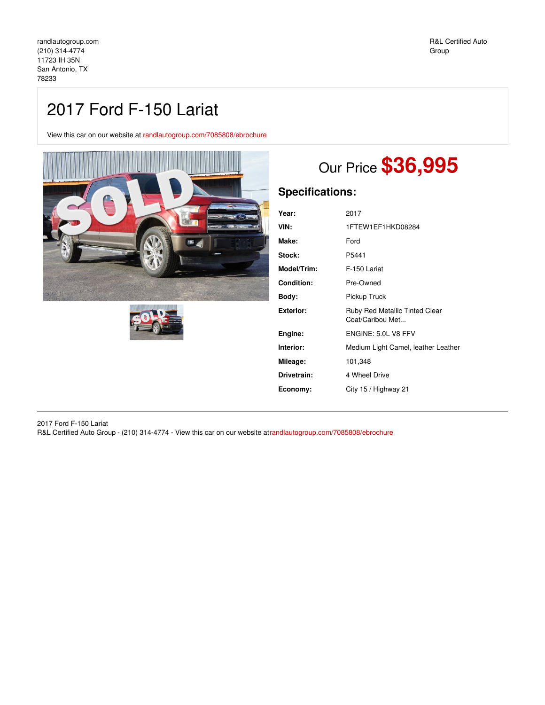## 2017 Ford F-150 Lariat

View this car on our website at [randlautogroup.com/7085808/ebrochure](https://randlautogroup.com/vehicle/7085808/2017-ford-f-150-lariat-san-antonio-tx-78233/7085808/ebrochure)





# Our Price **\$36,995**

## **Specifications:**

| Year:             | 2017                                               |
|-------------------|----------------------------------------------------|
| VIN:              | 1FTEW1EF1HKD08284                                  |
| Make:             | Ford                                               |
| <b>Stock:</b>     | P5441                                              |
| Model/Trim:       | F-150 Lariat                                       |
| <b>Condition:</b> | Pre-Owned                                          |
| Body:             | Pickup Truck                                       |
| Exterior:         | Ruby Red Metallic Tinted Clear<br>Coat/Caribou Met |
| Engine:           | ENGINE: 5.0L V8 FFV                                |
| Interior:         | Medium Light Camel, leather Leather                |
| Mileage:          | 101,348                                            |
| Drivetrain:       | 4 Wheel Drive                                      |
| Economy:          | City 15 / Highway 21                               |
|                   |                                                    |

2017 Ford F-150 Lariat R&L Certified Auto Group - (210) 314-4774 - View this car on our website a[trandlautogroup.com/7085808/ebrochure](https://randlautogroup.com/vehicle/7085808/2017-ford-f-150-lariat-san-antonio-tx-78233/7085808/ebrochure)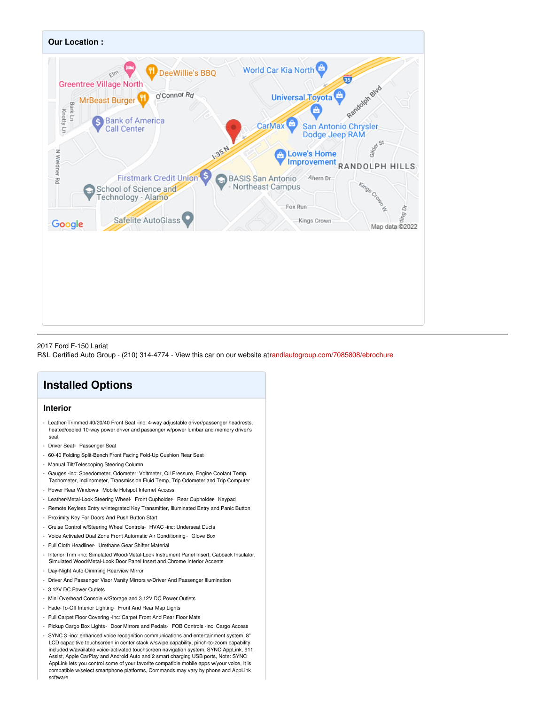

#### 2017 Ford F-150 Lariat

R&L Certified Auto Group - (210) 314-4774 - View this car on our website a[trandlautogroup.com/7085808/ebrochure](https://randlautogroup.com/vehicle/7085808/2017-ford-f-150-lariat-san-antonio-tx-78233/7085808/ebrochure)

## **Installed Options**

## **Interior**

- Leather-Trimmed 40/20/40 Front Seat -inc: 4-way adjustable driver/passenger headrests, heated/cooled 10-way power driver and passenger w/power lumbar and memory driver's seat
- Driver Seat- Passenger Seat
- 60-40 Folding Split-Bench Front Facing Fold-Up Cushion Rear Seat
- Manual Tilt/Telescoping Steering Column
- Gauges -inc: Speedometer, Odometer, Voltmeter, Oil Pressure, Engine Coolant Temp, Tachometer, Inclinometer, Transmission Fluid Temp, Trip Odometer and Trip Computer
- Power Rear Windows- Mobile Hotspot Internet Access
- Leather/Metal-Look Steering Wheel- Front Cupholder- Rear Cupholder- Keypad
- Remote Keyless Entry w/Integrated Key Transmitter, Illuminated Entry and Panic Button
- Proximity Key For Doors And Push Button Start
- Cruise Control w/Steering Wheel Controls- HVAC -inc: Underseat Ducts
- Voice Activated Dual Zone Front Automatic Air Conditioning Glove Box
- Full Cloth Headliner- Urethane Gear Shifter Material
- Interior Trim -inc: Simulated Wood/Metal-Look Instrument Panel Insert, Cabback Insulator, Simulated Wood/Metal-Look Door Panel Insert and Chrome Interior Accents
- Day-Night Auto-Dimming Rearview Mirror
- Driver And Passenger Visor Vanity Mirrors w/Driver And Passenger Illumination
- 3 12V DC Power Outlets
- Mini Overhead Console w/Storage and 3 12V DC Power Outlets
- Fade-To-Off Interior Lighting- Front And Rear Map Lights
- Full Carpet Floor Covering -inc: Carpet Front And Rear Floor Mats
- Pickup Cargo Box Lights- Door Mirrors and Pedals- FOB Controls -inc: Cargo Access
- SYNC 3 -inc: enhanced voice recognition communications and entertainment system, 8" LCD capacitive touchscreen in center stack w/swipe capability, pinch-to-zoom capability included w/available voice-activated touchscreen navigation system, SYNC AppLink, 911 Assist, Apple CarPlay and Android Auto and 2 smart charging USB ports, Note: SYNC AppLink lets you control some of your favorite compatible mobile apps w/your voice, It is compatible w/select smartphone platforms, Commands may vary by phone and AppLink software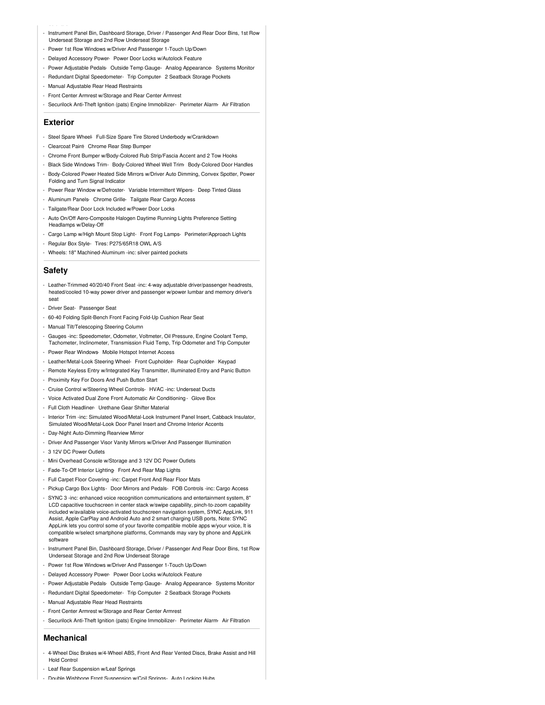- Instrument Panel Bin, Dashboard Storage, Driver / Passenger And Rear Door Bins, 1st Row Underseat Storage and 2nd Row Underseat Storage
- Power 1st Row Windows w/Driver And Passenger 1-Touch Up/Down
- Delayed Accessory Power- Power Door Locks w/Autolock Feature
- Power Adjustable Pedals- Outside Temp Gauge- Analog Appearance- Systems Monitor
- Redundant Digital Speedometer- Trip Computer- 2 Seatback Storage Pockets
- Manual Adjustable Rear Head Restraints
- Front Center Armrest w/Storage and Rear Center Armrest
- Securilock Anti-Theft Ignition (pats) Engine Immobilizer- Perimeter Alarm- Air Filtration

#### **Exterior**

- Steel Spare Wheel- Full-Size Spare Tire Stored Underbody w/Crankdown
- Clearcoat Paint Chrome Rear Step Bumper
- Chrome Front Bumper w/Body-Colored Rub Strip/Fascia Accent and 2 Tow Hooks
- Black Side Windows Trim- Body-Colored Wheel Well Trim- Body-Colored Door Handles - Body-Colored Power Heated Side Mirrors w/Driver Auto Dimming, Convex Spotter, Power
- Folding and Turn Signal Indicator
- Power Rear Window w/Defroster- Variable Intermittent Wipers- Deep Tinted Glass
- Aluminum Panels- Chrome Grille- Tailgate Rear Cargo Access
- Tailgate/Rear Door Lock Included w/Power Door Locks
- Auto On/Off Aero-Composite Halogen Daytime Running Lights Preference Setting Headlamps w/Delay-Off
- Cargo Lamp w/High Mount Stop Light- Front Fog Lamps- Perimeter/Approach Lights
- Regular Box Style- Tires: P275/65R18 OWL A/S
- Wheels: 18" Machined-Aluminum -inc: silver painted pockets

## **Safety**

- Leather-Trimmed 40/20/40 Front Seat -inc: 4-way adjustable driver/passenger headrests, heated/cooled 10-way power driver and passenger w/power lumbar and memory driver's seat
- Driver Seat- Passenger Seat
- 60-40 Folding Split-Bench Front Facing Fold-Up Cushion Rear Seat
- Manual Tilt/Telescoping Steering Column
- Gauges -inc: Speedometer, Odometer, Voltmeter, Oil Pressure, Engine Coolant Temp, Tachometer, Inclinometer, Transmission Fluid Temp, Trip Odometer and Trip Computer
- Power Rear Windows- Mobile Hotspot Internet Access
- Leather/Metal-Look Steering Wheel- Front Cupholder- Rear Cupholder- Keypad
- Remote Keyless Entry w/Integrated Key Transmitter, Illuminated Entry and Panic Button
- Proximity Key For Doors And Push Button Start
- Cruise Control w/Steering Wheel Controls- HVAC -inc: Underseat Ducts
- Voice Activated Dual Zone Front Automatic Air Conditioning Glove Box
- Full Cloth Headliner- Urethane Gear Shifter Material
- Interior Trim -inc: Simulated Wood/Metal-Look Instrument Panel Insert, Cabback Insulator, Simulated Wood/Metal-Look Door Panel Insert and Chrome Interior Accents
- Day-Night Auto-Dimming Rearview Mirror
- Driver And Passenger Visor Vanity Mirrors w/Driver And Passenger Illumination
- 3 12V DC Power Outlets
- Mini Overhead Console w/Storage and 3 12V DC Power Outlets
- Fade-To-Off Interior Lighting- Front And Rear Map Lights
- Full Carpet Floor Covering -inc: Carpet Front And Rear Floor Mats
- Pickup Cargo Box Lights- Door Mirrors and Pedals- FOB Controls -inc: Cargo Acce
- SYNC 3 -inc: enhanced voice recognition communications and entertainment system, 8" LCD capacitive touchscreen in center stack w/swipe capability, pinch-to-zoom capability included w/available voice-activated touchscreen navigation system, SYNC AppLink, 911 Assist, Apple CarPlay and Android Auto and 2 smart charging USB ports, Note: SYNC AppLink lets you control some of your favorite compatible mobile apps w/your voice, It is compatible w/select smartphone platforms, Commands may vary by phone and AppLink software
- Instrument Panel Bin, Dashboard Storage, Driver / Passenger And Rear Door Bins, 1st Row Underseat Storage and 2nd Row Underseat Storage
- Power 1st Row Windows w/Driver And Passenger 1-Touch Up/Down
- Delayed Accessory Power- Power Door Locks w/Autolock Feature
- Power Adjustable Pedals- Outside Temp Gauge- Analog Appearance- Systems Monitor
- Redundant Digital Speedometer- Trip Computer- 2 Seatback Storage Pockets
- Manual Adjustable Rear Head Restraints
- Front Center Armrest w/Storage and Rear Center Armrest
- Securilock Anti-Theft Ignition (pats) Engine Immobilizer- Perimeter Alarm- Air Filtration

### **Mechanical**

- 4-Wheel Disc Brakes w/4-Wheel ABS, Front And Rear Vented Discs, Brake Assist and Hill Hold Control
- Leaf Rear Suspension w/Leaf Springs
- Double Wishbone Front Suspension w/Coil Springs- Auto Locking Hubs